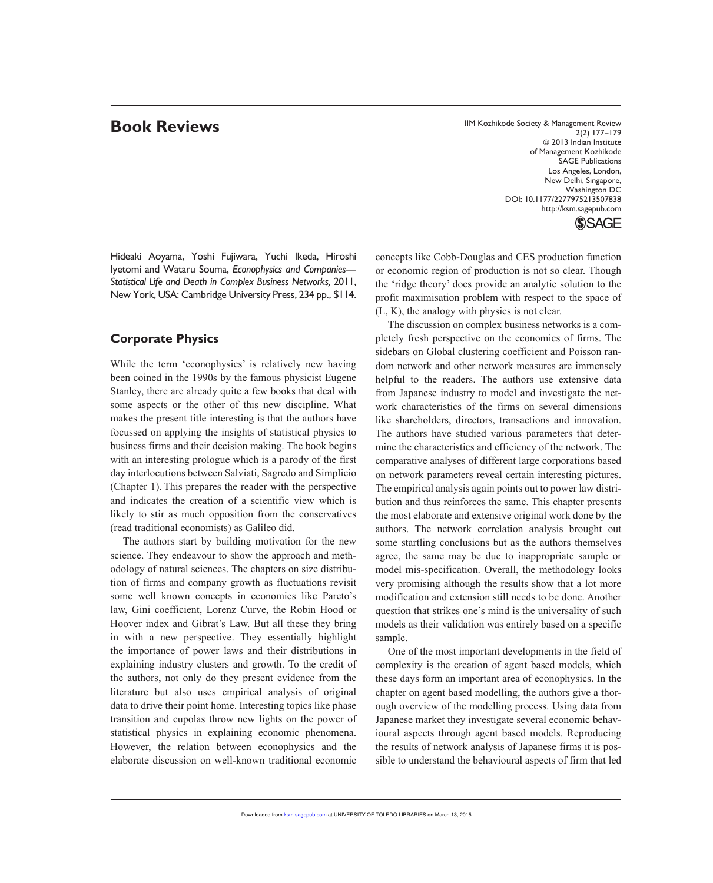**Book Reviews IIM Kozhikode Society & Management Review** 2(2) 177–179 © 2013 Indian Institute of Management Kozhikode SAGE Publications Los Angeles, London, New Delhi, Singapore, Washington DC DOI: 10.1177/2277975213507838 http://ksm.sagepub.com

**SSAGE** 

Hideaki Aoyama, Yoshi Fujiwara, Yuchi Ikeda, Hiroshi Iyetomi and Wataru Souma, *Econophysics and Companies— Statistical Life and Death in Complex Business Networks,* 2011, New York, USA: Cambridge University Press, 234 pp., \$114.

# **Corporate Physics**

While the term 'econophysics' is relatively new having been coined in the 1990s by the famous physicist Eugene Stanley, there are already quite a few books that deal with some aspects or the other of this new discipline. What makes the present title interesting is that the authors have focussed on applying the insights of statistical physics to business firms and their decision making. The book begins with an interesting prologue which is a parody of the first day interlocutions between Salviati, Sagredo and Simplicio (Chapter 1). This prepares the reader with the perspective and indicates the creation of a scientific view which is likely to stir as much opposition from the conservatives (read traditional economists) as Galileo did.

The authors start by building motivation for the new science. They endeavour to show the approach and methodology of natural sciences. The chapters on size distribution of firms and company growth as fluctuations revisit some well known concepts in economics like Pareto's law, Gini coefficient, Lorenz Curve, the Robin Hood or Hoover index and Gibrat's Law. But all these they bring in with a new perspective. They essentially highlight the importance of power laws and their distributions in explaining industry clusters and growth. To the credit of the authors, not only do they present evidence from the literature but also uses empirical analysis of original data to drive their point home. Interesting topics like phase transition and cupolas throw new lights on the power of statistical physics in explaining economic phenomena. However, the relation between econophysics and the elaborate discussion on well-known traditional economic

concepts like Cobb-Douglas and CES production function or economic region of production is not so clear. Though the 'ridge theory' does provide an analytic solution to the profit maximisation problem with respect to the space of (L, K), the analogy with physics is not clear.

The discussion on complex business networks is a completely fresh perspective on the economics of firms. The sidebars on Global clustering coefficient and Poisson random network and other network measures are immensely helpful to the readers. The authors use extensive data from Japanese industry to model and investigate the network characteristics of the firms on several dimensions like shareholders, directors, transactions and innovation. The authors have studied various parameters that determine the characteristics and efficiency of the network. The comparative analyses of different large corporations based on network parameters reveal certain interesting pictures. The empirical analysis again points out to power law distribution and thus reinforces the same. This chapter presents the most elaborate and extensive original work done by the authors. The network correlation analysis brought out some startling conclusions but as the authors themselves agree, the same may be due to inappropriate sample or model mis-specification. Overall, the methodology looks very promising although the results show that a lot more modification and extension still needs to be done. Another question that strikes one's mind is the universality of such models as their validation was entirely based on a specific sample.

One of the most important developments in the field of complexity is the creation of agent based models, which these days form an important area of econophysics. In the chapter on agent based modelling, the authors give a thorough overview of the modelling process. Using data from Japanese market they investigate several economic behavioural aspects through agent based models. Reproducing the results of network analysis of Japanese firms it is possible to understand the behavioural aspects of firm that led